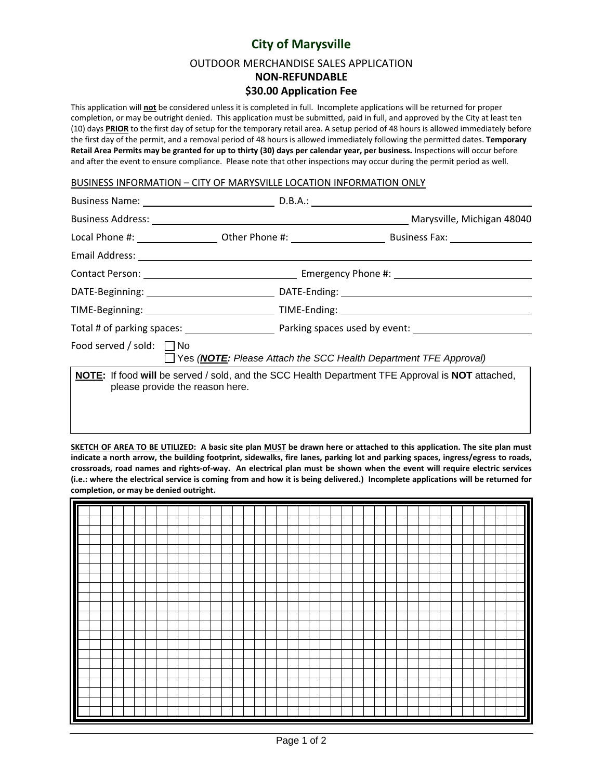## **City of Marysville**

OUTDOOR MERCHANDISE SALES APPLICATION

**NON‐REFUNDABLE**

## **\$30.00 Application Fee**

This application will **not** be considered unless it is completed in full. Incomplete applications will be returned for proper completion, or may be outright denied. This application must be submitted, paid in full, and approved by the City at least ten (10) days **PRIOR** to the first day of setup for the temporary retail area. A setup period of 48 hours is allowed immediately before the first day of the permit, and a removal period of 48 hours is allowed immediately following the permitted dates. **Temporary** Retail Area Permits may be granted for up to thirty (30) days per calendar year, per business. Inspections will occur before and after the event to ensure compliance. Please note that other inspections may occur during the permit period as well.

## BUSINESS INFORMATION – CITY OF MARYSVILLE LOCATION INFORMATION ONLY

|                                 | Business Address: Marysville, Michigan 48040                                                                   |
|---------------------------------|----------------------------------------------------------------------------------------------------------------|
|                                 |                                                                                                                |
|                                 |                                                                                                                |
|                                 |                                                                                                                |
|                                 |                                                                                                                |
|                                 |                                                                                                                |
|                                 |                                                                                                                |
| Food served / sold: $\Box$ No   | $\Box$ Yes ( <b>NOTE:</b> Please Attach the SCC Health Department TFE Approval)                                |
| please provide the reason here. | <b>NOTE:</b> If food will be served / sold, and the SCC Health Department TFE Approval is <b>NOT</b> attached, |
|                                 |                                                                                                                |

SKETCH OF AREA TO BE UTILIZED: A basic site plan MUST be drawn here or attached to this application. The site plan must indicate a north arrow, the building footprint, sidewalks, fire lanes, parking lot and parking spaces, ingress/egress to roads, crossroads, road names and rights-of-way. An electrical plan must be shown when the event will require electric services (i.e.: where the electrical service is coming from and how it is being delivered.) Incomplete applications will be returned for **completion, or may be denied outright.**

| $\overline{\mathsf{I}}$ |  |  |  |  |  |  |  |  |  |  |  |  |  |  |  |  |  |  |  |  |
|-------------------------|--|--|--|--|--|--|--|--|--|--|--|--|--|--|--|--|--|--|--|--|
|                         |  |  |  |  |  |  |  |  |  |  |  |  |  |  |  |  |  |  |  |  |
| H                       |  |  |  |  |  |  |  |  |  |  |  |  |  |  |  |  |  |  |  |  |
| I                       |  |  |  |  |  |  |  |  |  |  |  |  |  |  |  |  |  |  |  |  |
|                         |  |  |  |  |  |  |  |  |  |  |  |  |  |  |  |  |  |  |  |  |
| ι                       |  |  |  |  |  |  |  |  |  |  |  |  |  |  |  |  |  |  |  |  |
| Ш                       |  |  |  |  |  |  |  |  |  |  |  |  |  |  |  |  |  |  |  |  |
| I                       |  |  |  |  |  |  |  |  |  |  |  |  |  |  |  |  |  |  |  |  |
|                         |  |  |  |  |  |  |  |  |  |  |  |  |  |  |  |  |  |  |  |  |
|                         |  |  |  |  |  |  |  |  |  |  |  |  |  |  |  |  |  |  |  |  |
|                         |  |  |  |  |  |  |  |  |  |  |  |  |  |  |  |  |  |  |  |  |
|                         |  |  |  |  |  |  |  |  |  |  |  |  |  |  |  |  |  |  |  |  |
| Π                       |  |  |  |  |  |  |  |  |  |  |  |  |  |  |  |  |  |  |  |  |
|                         |  |  |  |  |  |  |  |  |  |  |  |  |  |  |  |  |  |  |  |  |
| Π                       |  |  |  |  |  |  |  |  |  |  |  |  |  |  |  |  |  |  |  |  |
|                         |  |  |  |  |  |  |  |  |  |  |  |  |  |  |  |  |  |  |  |  |
| Ш                       |  |  |  |  |  |  |  |  |  |  |  |  |  |  |  |  |  |  |  |  |
| п                       |  |  |  |  |  |  |  |  |  |  |  |  |  |  |  |  |  |  |  |  |
| Π                       |  |  |  |  |  |  |  |  |  |  |  |  |  |  |  |  |  |  |  |  |
|                         |  |  |  |  |  |  |  |  |  |  |  |  |  |  |  |  |  |  |  |  |
| ∎                       |  |  |  |  |  |  |  |  |  |  |  |  |  |  |  |  |  |  |  |  |